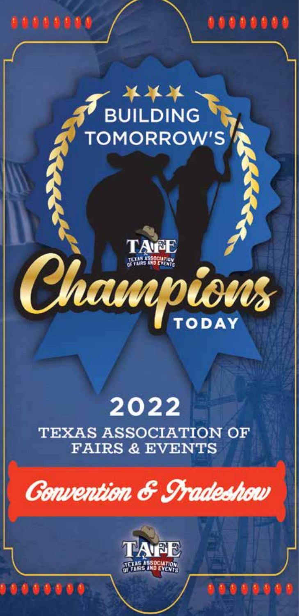

# BUILDING

........



# 2022

**TEXAS ASSOCIATION OF FAIRS & EVENTS** 





......

........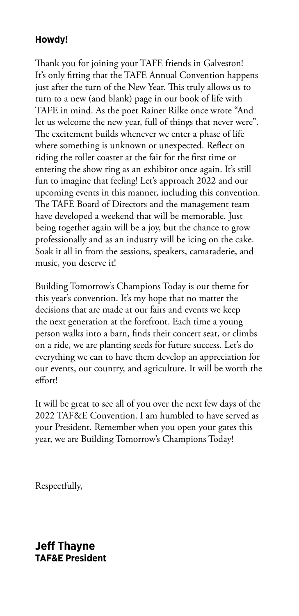#### **Howdy!**

Thank you for joining your TAFE friends in Galveston! It's only fitting that the TAFE Annual Convention happens just after the turn of the New Year. This truly allows us to turn to a new (and blank) page in our book of life with TAFE in mind. As the poet Rainer Rilke once wrote "And let us welcome the new year, full of things that never were". The excitement builds whenever we enter a phase of life where something is unknown or unexpected. Reflect on riding the roller coaster at the fair for the first time or entering the show ring as an exhibitor once again. It's still fun to imagine that feeling! Let's approach 2022 and our upcoming events in this manner, including this convention. The TAFE Board of Directors and the management team have developed a weekend that will be memorable. Just being together again will be a joy, but the chance to grow professionally and as an industry will be icing on the cake. Soak it all in from the sessions, speakers, camaraderie, and music, you deserve it!

Building Tomorrow's Champions Today is our theme for this year's convention. It's my hope that no matter the decisions that are made at our fairs and events we keep the next generation at the forefront. Each time a young person walks into a barn, finds their concert seat, or climbs on a ride, we are planting seeds for future success. Let's do everything we can to have them develop an appreciation for our events, our country, and agriculture. It will be worth the effort!

It will be great to see all of you over the next few days of the 2022 TAF&E Convention. I am humbled to have served as your President. Remember when you open your gates this year, we are Building Tomorrow's Champions Today!

Respectfully,

**Jeff Thayne TAF&E President**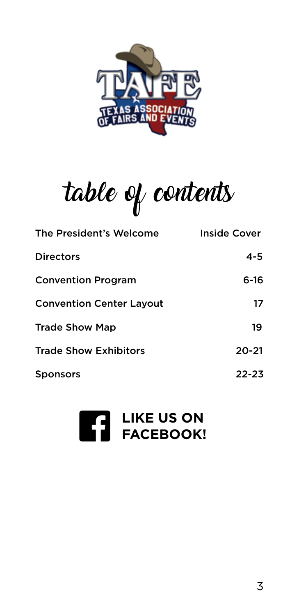

table of contents

| The President's Welcome         | Inside Cover |
|---------------------------------|--------------|
| <b>Directors</b>                | 4-5          |
| <b>Convention Program</b>       | 6-16         |
| <b>Convention Center Layout</b> | 17           |
| <b>Trade Show Map</b>           | 19           |
| <b>Trade Show Exhibitors</b>    | $20 - 21$    |
| <b>Sponsors</b>                 | $22 - 23$    |

# **LIKE US ON FACEBOOK!** f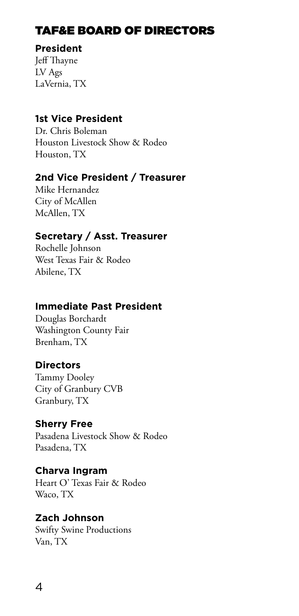### TAF&E BOARD OF DIRECTORS

#### **President**

Jeff Thayne LV Ags LaVernia, TX

#### **1st Vice President**

Dr. Chris Boleman Houston Livestock Show & Rodeo Houston, TX

#### **2nd Vice President / Treasurer**

Mike Hernandez City of McAllen McAllen, TX

#### **Secretary / Asst. Treasurer**

Rochelle Johnson West Texas Fair & Rodeo Abilene, TX

#### **Immediate Past President**

Douglas Borchardt Washington County Fair Brenham, TX

#### **Directors**

Tammy Dooley City of Granbury CVB Granbury, TX

#### **Sherry Free**

Pasadena Livestock Show & Rodeo Pasadena, TX

#### **Charva Ingram**

Heart O' Texas Fair & Rodeo Waco, TX

#### **Zach Johnson**

Swifty Swine Productions Van, TX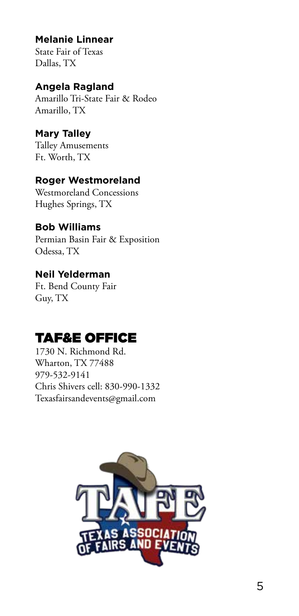#### **Melanie Linnear**

State Fair of Texas Dallas, TX

#### **Angela Ragland**

Amarillo Tri-State Fair & Rodeo Amarillo, TX

#### **Mary Talley**

Talley Amusements Ft. Worth, TX

#### **Roger Westmoreland**

Westmoreland Concessions Hughes Springs, TX

#### **Bob Williams**

Permian Basin Fair & Exposition Odessa, TX

#### **Neil Yelderman**

Ft. Bend County Fair Guy, TX

# TAF&E OFFICE

1730 N. Richmond Rd. Wharton, TX 77488 979-532-9141 Chris Shivers cell: 830-990-1332 Texasfairsandevents@gmail.com

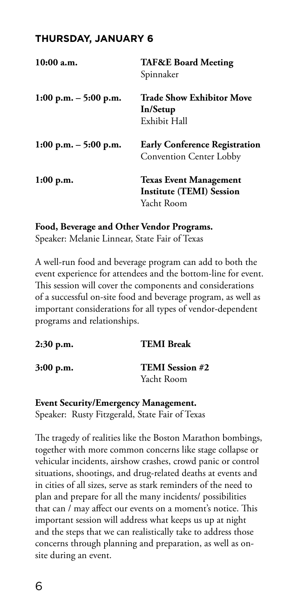#### **THURSDAY, JANUARY 6**

| 10:00 a.m.              | <b>TAF&amp;E Board Meeting</b><br>Spinnaker                                    |
|-------------------------|--------------------------------------------------------------------------------|
| 1:00 p.m. $-$ 5:00 p.m. | Trade Show Exhibitor Move<br>In/Setup<br>Exhibit Hall                          |
| 1:00 p.m. $-$ 5:00 p.m. | <b>Early Conference Registration</b><br><b>Convention Center Lobby</b>         |
| 1:00 p.m.               | <b>Texas Event Management</b><br><b>Institute (TEMI) Session</b><br>Yacht Room |

**Food, Beverage and Other Vendor Programs.**

Speaker: Melanie Linnear, State Fair of Texas

A well-run food and beverage program can add to both the event experience for attendees and the bottom-line for event. This session will cover the components and considerations of a successful on-site food and beverage program, as well as important considerations for all types of vendor-dependent programs and relationships.

| <b>TEMI Break</b>                    |
|--------------------------------------|
| <b>TEMI</b> Session #2<br>Yacht Room |
|                                      |

**Event Security/Emergency Management.**  Speaker: Rusty Fitzgerald, State Fair of Texas

The tragedy of realities like the Boston Marathon bombings, together with more common concerns like stage collapse or vehicular incidents, airshow crashes, crowd panic or control situations, shootings, and drug-related deaths at events and in cities of all sizes, serve as stark reminders of the need to plan and prepare for all the many incidents/ possibilities that can / may affect our events on a moment's notice. This important session will address what keeps us up at night and the steps that we can realistically take to address those concerns through planning and preparation, as well as onsite during an event.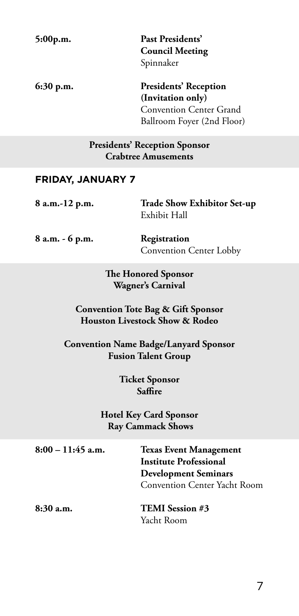| 5:00p.m. | Past Presidents'       |
|----------|------------------------|
|          | <b>Council Meeting</b> |
|          | Spinnaker              |

**6:30 p.m. Presidents' Reception (Invitation only)**  Convention Center Grand Ballroom Foyer (2nd Floor)

#### **Presidents' Reception Sponsor Crabtree Amusements**

#### **FRIDAY, JANUARY 7**

| 8 a.m.-12 p.m. | <b>Trade Show Exhibitor Set-up</b> |
|----------------|------------------------------------|
|                | Exhibit Hall                       |
|                |                                    |

**8 a.m. - 6 p.m. Registration** 

Convention Center Lobby

**The Honored Sponsor Wagner's Carnival**

#### **Convention Tote Bag & Gift Sponsor Houston Livestock Show & Rodeo**

**Convention Name Badge/Lanyard Sponsor Fusion Talent Group**

> **Ticket Sponsor Saffire**

#### **Hotel Key Card Sponsor Ray Cammack Shows**

**8:00 – 11:45 a.m. Texas Event Management Institute Professional Development Seminars** Convention Center Yacht Room **8:30 a.m. TEMI Session #3** 

Yacht Room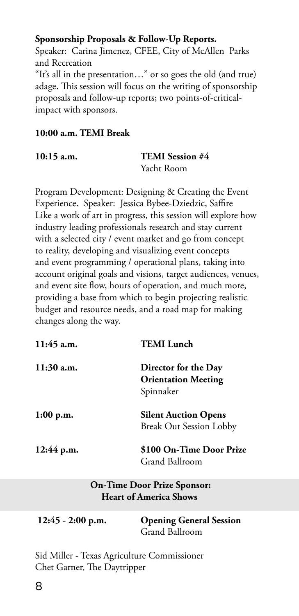#### **Sponsorship Proposals & Follow-Up Reports.**

Speaker: Carina Jimenez, CFEE, City of McAllen Parks and Recreation "It's all in the presentation…" or so goes the old (and true) adage. This session will focus on the writing of sponsorship proposals and follow-up reports; two points-of-criticalimpact with sponsors.

#### **10:00 a.m. TEMI Break**

| 10:15 a.m. |  |
|------------|--|
|------------|--|

#### **12.000 TEMI Session #4** Yacht Room

Program Development: Designing & Creating the Event Experience. Speaker: Jessica Bybee-Dziedzic, Saffire Like a work of art in progress, this session will explore how industry leading professionals research and stay current with a selected city / event market and go from concept to reality, developing and visualizing event concepts and event programming / operational plans, taking into account original goals and visions, target audiences, venues, and event site flow, hours of operation, and much more, providing a base from which to begin projecting realistic budget and resource needs, and a road map for making changes along the way.

| $11:45$ a.m. | <b>TEMI</b> Lunch                                               |
|--------------|-----------------------------------------------------------------|
| $11:30$ a.m. | Director for the Day<br><b>Orientation Meeting</b><br>Spinnaker |
| 1:00 p.m.    | <b>Silent Auction Opens</b><br><b>Break Out Session Lobby</b>   |
| 12:44 p.m.   | \$100 On-Time Door Prize<br>Grand Ballroom                      |

#### **On-Time Door Prize Sponsor: Heart of America Shows**

| $12:45 - 2:00$ p.m. | <b>Opening General Session</b> |
|---------------------|--------------------------------|
|                     | Grand Ballroom                 |

Sid Miller - Texas Agriculture Commissioner Chet Garner, The Daytripper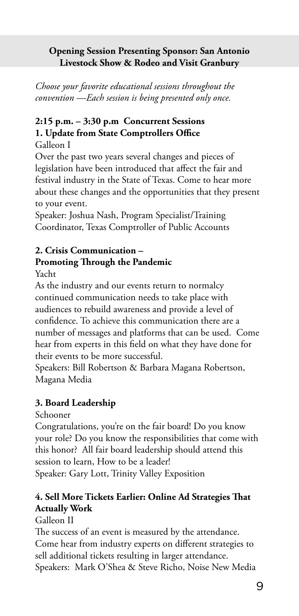#### **Opening Session Presenting Sponsor: San Antonio Livestock Show & Rodeo and Visit Granbury**

*Choose your favorite educational sessions throughout the convention —Each session is being presented only once.* 

#### **2:15 p.m. – 3:30 p.m Concurrent Sessions 1. Update from State Comptrollers Office**

Galleon I

Over the past two years several changes and pieces of legislation have been introduced that affect the fair and festival industry in the State of Texas. Come to hear more about these changes and the opportunities that they present to your event.

Speaker: Joshua Nash, Program Specialist/Training Coordinator, Texas Comptroller of Public Accounts

#### **2. Crisis Communication – Promoting Through the Pandemic**

Yacht

As the industry and our events return to normalcy continued communication needs to take place with audiences to rebuild awareness and provide a level of confidence. To achieve this communication there are a number of messages and platforms that can be used. Come hear from experts in this field on what they have done for their events to be more successful.

Speakers: Bill Robertson & Barbara Magana Robertson, Magana Media

#### **3. Board Leadership**

Schooner

Congratulations, you're on the fair board! Do you know your role? Do you know the responsibilities that come with this honor? All fair board leadership should attend this session to learn, How to be a leader! Speaker: Gary Lott, Trinity Valley Exposition

#### **4. Sell More Tickets Earlier: Online Ad Strategies That Actually Work**

Galleon II

The success of an event is measured by the attendance. Come hear from industry experts on different strategies to sell additional tickets resulting in larger attendance. Speakers: Mark O'Shea & Steve Richo, Noise New Media

9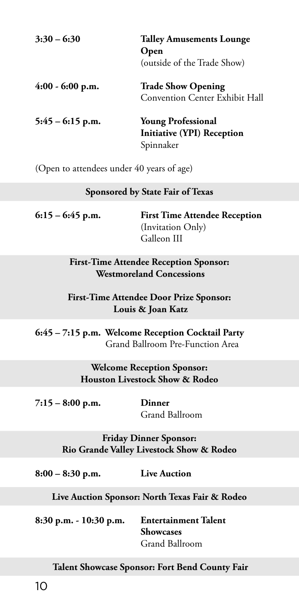| $3:30 - 6:30$      | <b>Talley Amusements Lounge</b><br>Open<br>(outside of the Trade Show)      |
|--------------------|-----------------------------------------------------------------------------|
| $4:00 - 6:00$ p.m. | <b>Trade Show Opening</b><br><b>Convention Center Exhibit Hall</b>          |
| $5:45 - 6:15$ p.m. | <b>Young Professional</b><br><b>Initiative (YPI) Reception</b><br>Spinnaker |

(Open to attendees under 40 years of age)

#### **Sponsored by State Fair of Texas**

| $6:15 - 6:45$ p.m. | <b>First Time Attendee Reception</b> |
|--------------------|--------------------------------------|
|                    | (Invitation Only)                    |
|                    | Galleon III                          |

**First-Time Attendee Reception Sponsor: Westmoreland Concessions**

#### **First-Time Attendee Door Prize Sponsor: Louis & Joan Katz**

**6:45 – 7:15 p.m. Welcome Reception Cocktail Party**  Grand Ballroom Pre-Function Area

> **Welcome Reception Sponsor: Houston Livestock Show & Rodeo**

**7:15 – 8:00 p.m. Dinner**

Grand Ballroom

**Friday Dinner Sponsor: Rio Grande Valley Livestock Show & Rodeo**

**8:00 – 8:30 p.m. Live Auction**

**Live Auction Sponsor: North Texas Fair & Rodeo**

**8:30 p.m. - 10:30 p.m. Entertainment Talent Showcases**  Grand Ballroom

 **Talent Showcase Sponsor: Fort Bend County Fair**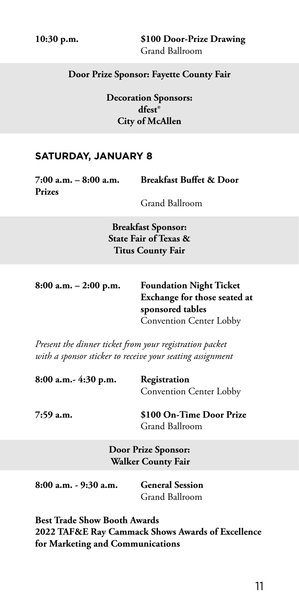**10:30 p.m. \$100 Door-Prize Drawing** Grand Ballroom

#### **Door Prize Sponsor: Fayette County Fair**

**Decoration Sponsors: dfest® City of McAllen**

#### **SATURDAY, JANUARY 8**

**Prizes**

**7:00 a.m. – 8:00 a.m. Breakfast Buffet & Door** 

Grand Ballroom

**Breakfast Sponsor: State Fair of Texas & Titus County Fair**

**8:00 a.m. – 2:00 p.m. Foundation Night Ticket Exchange for those seated at sponsored tables** Convention Center Lobby

*Present the dinner ticket from your registration packet with a sponsor sticker to receive your seating assignment* 

**8:00 a.m.- 4:30 p.m. Registration**  Convention Center Lobby

**7:59 a.m. \$100 On-Time Door Prize** Grand Ballroom

> **Door Prize Sponsor: Walker County Fair**

**8:00 a.m. - 9:30 a.m. General Session**

Grand Ballroom

**Best Trade Show Booth Awards 2022 TAF&E Ray Cammack Shows Awards of Excellence for Marketing and Communications**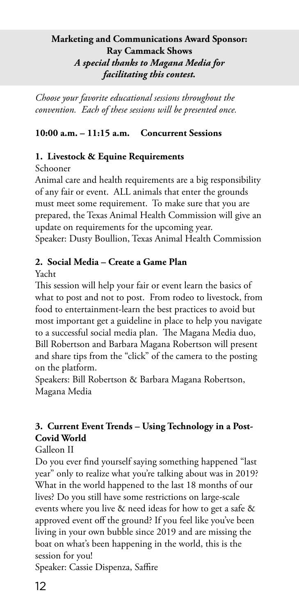#### **Marketing and Communications Award Sponsor: Ray Cammack Shows**  *A special thanks to Magana Media for facilitating this contest.*

*Choose your favorite educational sessions throughout the convention. Each of these sessions will be presented once.*

#### **10:00 a.m. – 11:15 a.m. Concurrent Sessions**

#### **1. Livestock & Equine Requirements**

Schooner

Animal care and health requirements are a big responsibility of any fair or event. ALL animals that enter the grounds must meet some requirement. To make sure that you are prepared, the Texas Animal Health Commission will give an update on requirements for the upcoming year. Speaker: Dusty Boullion, Texas Animal Health Commission

#### **2. Social Media – Create a Game Plan**

Yacht

This session will help your fair or event learn the basics of what to post and not to post. From rodeo to livestock, from food to entertainment-learn the best practices to avoid but most important get a guideline in place to help you navigate to a successful social media plan. The Magana Media duo, Bill Robertson and Barbara Magana Robertson will present and share tips from the "click" of the camera to the posting on the platform.

Speakers: Bill Robertson & Barbara Magana Robertson, Magana Media

#### **3. Current Event Trends – Using Technology in a Post-Covid World**

Galleon II

Do you ever find yourself saying something happened "last year" only to realize what you're talking about was in 2019? What in the world happened to the last 18 months of our lives? Do you still have some restrictions on large-scale events where you live & need ideas for how to get a safe & approved event off the ground? If you feel like you've been living in your own bubble since 2019 and are missing the boat on what's been happening in the world, this is the session for you!

Speaker: Cassie Dispenza, Saffire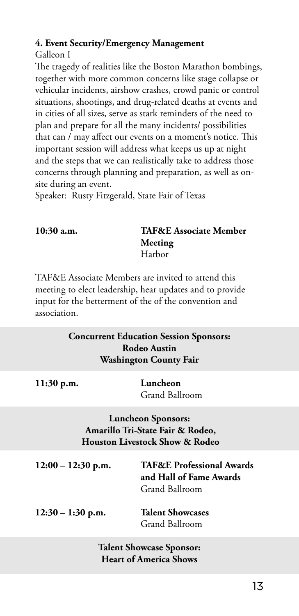#### **4. Event Security/Emergency Management**

Galleon I

The tragedy of realities like the Boston Marathon bombings, together with more common concerns like stage collapse or vehicular incidents, airshow crashes, crowd panic or control situations, shootings, and drug-related deaths at events and in cities of all sizes, serve as stark reminders of the need to plan and prepare for all the many incidents/ possibilities that can / may affect our events on a moment's notice. This important session will address what keeps us up at night and the steps that we can realistically take to address those concerns through planning and preparation, as well as onsite during an event.

Speaker: Rusty Fitzgerald, State Fair of Texas

#### **10:30 a.m. TAF&E Associate Member Meeting** Harbor

TAF&E Associate Members are invited to attend this meeting to elect leadership, hear updates and to provide input for the betterment of the of the convention and association.

#### **Concurrent Education Session Sponsors: Rodeo Austin Washington County Fair**

| 11:30 p.m.                                                                                      | Luncheon<br>Grand Ballroom                                                        |  |
|-------------------------------------------------------------------------------------------------|-----------------------------------------------------------------------------------|--|
| <b>Luncheon Sponsors:</b><br>Amarillo Tri-State Fair & Rodeo,<br>Houston Livestock Show & Rodeo |                                                                                   |  |
| $12:00 - 12:30$ p.m.                                                                            | <b>TAF&amp;E Professional Awards</b><br>and Hall of Fame Awards<br>Grand Ballroom |  |
| $12:30 - 1:30$ p.m.                                                                             | <b>Talent Showcases</b><br>Grand Ballroom                                         |  |

#### **Talent Showcase Sponsor: Heart of America Shows**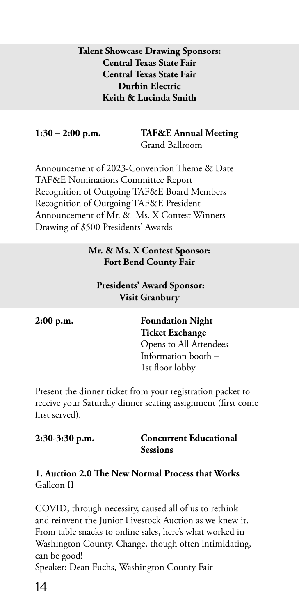#### **Talent Showcase Drawing Sponsors: Central Texas State Fair Central Texas State Fair Durbin Electric Keith & Lucinda Smith**

# **1:30 – 2:00 p.m. TAF&E Annual Meeting**

Grand Ballroom

Announcement of 2023-Convention Theme & Date TAF&E Nominations Committee Report Recognition of Outgoing TAF&E Board Members Recognition of Outgoing TAF&E President Announcement of Mr. & Ms. X Contest Winners Drawing of \$500 Presidents' Awards

#### **Mr. & Ms. X Contest Sponsor: Fort Bend County Fair**

#### **Presidents' Award Sponsor: Visit Granbury**

**2:00 p.m. Foundation Night Ticket Exchange**  Opens to All Attendees Information booth – 1st floor lobby

Present the dinner ticket from your registration packet to receive your Saturday dinner seating assignment (first come first served).

| 2:30-3:30 p.m. | <b>Concurrent Educational</b> |
|----------------|-------------------------------|
|                | <b>Sessions</b>               |

#### **1. Auction 2.0 The New Normal Process that Works** Galleon II

COVID, through necessity, caused all of us to rethink and reinvent the Junior Livestock Auction as we knew it. From table snacks to online sales, here's what worked in Washington County. Change, though often intimidating, can be good!

Speaker: Dean Fuchs, Washington County Fair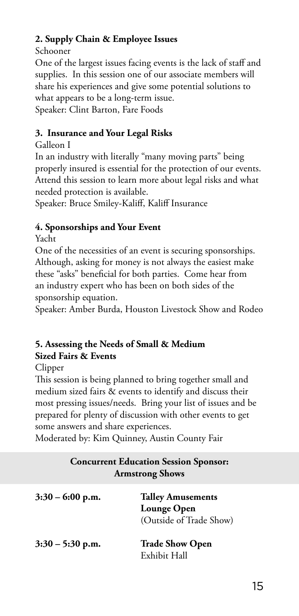#### **2. Supply Chain & Employee Issues**

Schooner

One of the largest issues facing events is the lack of staff and supplies. In this session one of our associate members will share his experiences and give some potential solutions to what appears to be a long-term issue. Speaker: Clint Barton, Fare Foods

#### **3. Insurance and Your Legal Risks**

#### Galleon I

In an industry with literally "many moving parts" being properly insured is essential for the protection of our events. Attend this session to learn more about legal risks and what needed protection is available.

Speaker: Bruce Smiley-Kaliff, Kaliff Insurance

#### **4. Sponsorships and Your Event**

Yacht

One of the necessities of an event is securing sponsorships. Although, asking for money is not always the easiest make these "asks" beneficial for both parties. Come hear from an industry expert who has been on both sides of the sponsorship equation.

Speaker: Amber Burda, Houston Livestock Show and Rodeo

#### **5. Assessing the Needs of Small & Medium Sized Fairs & Events**

#### Clipper

This session is being planned to bring together small and medium sized fairs & events to identify and discuss their most pressing issues/needs. Bring your list of issues and be prepared for plenty of discussion with other events to get some answers and share experiences.

Moderated by: Kim Quinney, Austin County Fair

| <b>Concurrent Education Session Sponsor:</b><br><b>Armstrong Shows</b> |                                                                    |
|------------------------------------------------------------------------|--------------------------------------------------------------------|
| $3:30 - 6:00$ p.m.                                                     | <b>Talley Amusements</b><br>Lounge Open<br>(Outside of Trade Show) |
| $3:30 - 5:30$ p.m.                                                     | <b>Trade Show Open</b>                                             |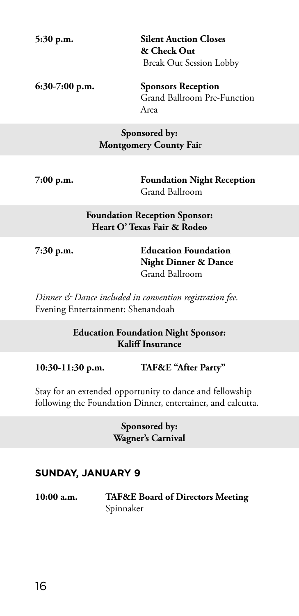**5:30 p.m. Silent Auction Closes & Check Out** Break Out Session Lobby

**6:30-7:00 p.m. Sponsors Reception** Grand Ballroom Pre-Function Area

#### **Sponsored by: Montgomery County Fai**r

**7:00 p.m. Foundation Night Reception**  Grand Ballroom

> **Foundation Reception Sponsor: Heart O' Texas Fair & Rodeo**

**7:30 p.m. Education Foundation Night Dinner & Dance** Grand Ballroom

*Dinner & Dance included in convention registration fee.*  Evening Entertainment: Shenandoah

> **Education Foundation Night Sponsor: Kaliff Insurance**

**10:30-11:30 p.m. TAF&E "After Party"**

Stay for an extended opportunity to dance and fellowship following the Foundation Dinner, entertainer, and calcutta.

> **Sponsored by: Wagner's Carnival**

#### **SUNDAY, JANUARY 9**

**10:00 a.m. TAF&E Board of Directors Meeting** Spinnaker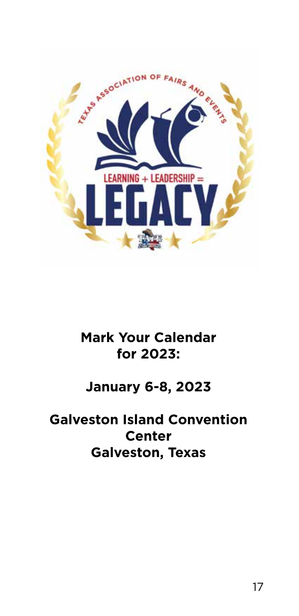

# **Mark Your Calendar for 2023:**

# **January 6-8, 2023**

# **Galveston Island Convention Center Galveston, Texas**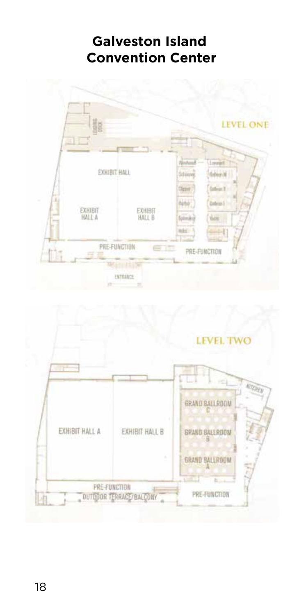# **Galveston Island Convention Center**



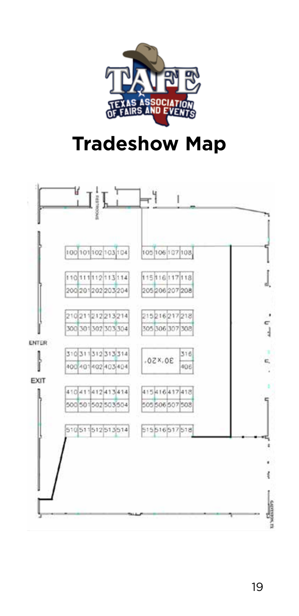

# **Tradeshow Map**

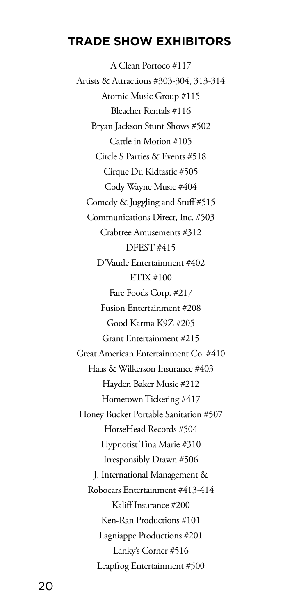#### **TRADE SHOW EXHIBITORS**

A Clean Portoco #117 Artists & Attractions #303-304, 313-314 Atomic Music Group #115 Bleacher Rentals #116 Bryan Jackson Stunt Shows #502 Cattle in Motion #105 Circle S Parties & Events #518 Cirque Du Kidtastic #505 Cody Wayne Music #404 Comedy & Juggling and Stuff #515 Communications Direct, Inc. #503 Crabtree Amusements #312 DFEST #415 D'Vaude Entertainment #402 ETIX #100 Fare Foods Corp. #217 Fusion Entertainment #208 Good Karma K9Z #205 Grant Entertainment #215 Great American Entertainment Co. #410 Haas & Wilkerson Insurance #403 Hayden Baker Music #212 Hometown Ticketing #417 Honey Bucket Portable Sanitation #507 HorseHead Records #504 Hypnotist Tina Marie #310 Irresponsibly Drawn #506 J. International Management & Robocars Entertainment #413-414 Kaliff Insurance #200 Ken-Ran Productions #101 Lagniappe Productions #201 Lanky's Corner #516 Leapfrog Entertainment #500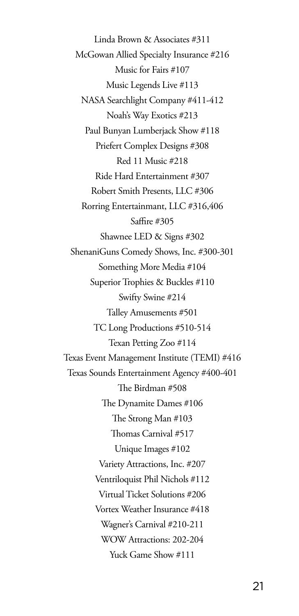Linda Brown & Associates #311 McGowan Allied Specialty Insurance #216 Music for Fairs #107 Music Legends Live #113 NASA Searchlight Company #411-412 Noah's Way Exotics #213 Paul Bunyan Lumberjack Show #118 Priefert Complex Designs #308 Red 11 Music #218 Ride Hard Entertainment #307 Robert Smith Presents, LLC #306 Rorring Entertainmant, LLC #316,406 Saffire #305 Shawnee LED & Signs #302 ShenaniGuns Comedy Shows, Inc. #300-301 Something More Media #104 Superior Trophies & Buckles #110 Swifty Swine #214 Talley Amusements #501 TC Long Productions #510-514 Texan Petting Zoo #114 Texas Event Management Institute (TEMI) #416 Texas Sounds Entertainment Agency #400-401 The Birdman #508 The Dynamite Dames #106 The Strong Man #103 Thomas Carnival #517 Unique Images #102 Variety Attractions, Inc. #207 Ventriloquist Phil Nichols #112 Virtual Ticket Solutions #206 Vortex Weather Insurance #418 Wagner's Carnival #210-211 WOW Attractions: 202-204 Yuck Game Show #111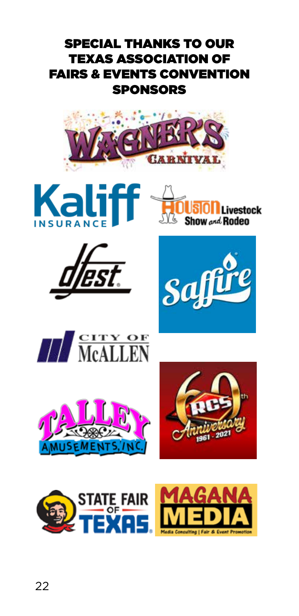# SPECIAL THANKS TO OUR TEXAS ASSOCIATION OF FAIRS & EVENTS CONVENTION SPONSORS

















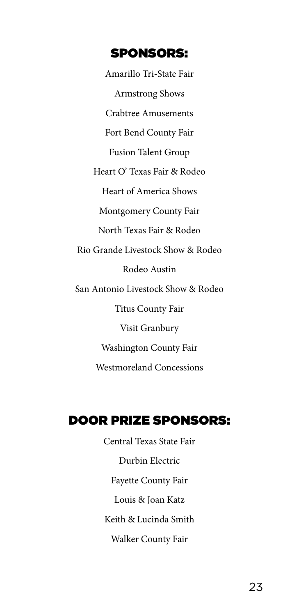#### SPONSORS:

Amarillo Tri-State Fair Armstrong Shows Crabtree Amusements Fort Bend County Fair Fusion Talent Group Heart O' Texas Fair & Rodeo Heart of America Shows Montgomery County Fair North Texas Fair & Rodeo Rio Grande Livestock Show & Rodeo Rodeo Austin San Antonio Livestock Show & Rodeo Titus County Fair Visit Granbury Washington County Fair Westmoreland Concessions

## DOOR PRIZE SPONSORS:

Central Texas State Fair Durbin Electric Fayette County Fair Louis & Joan Katz Keith & Lucinda Smith Walker County Fair